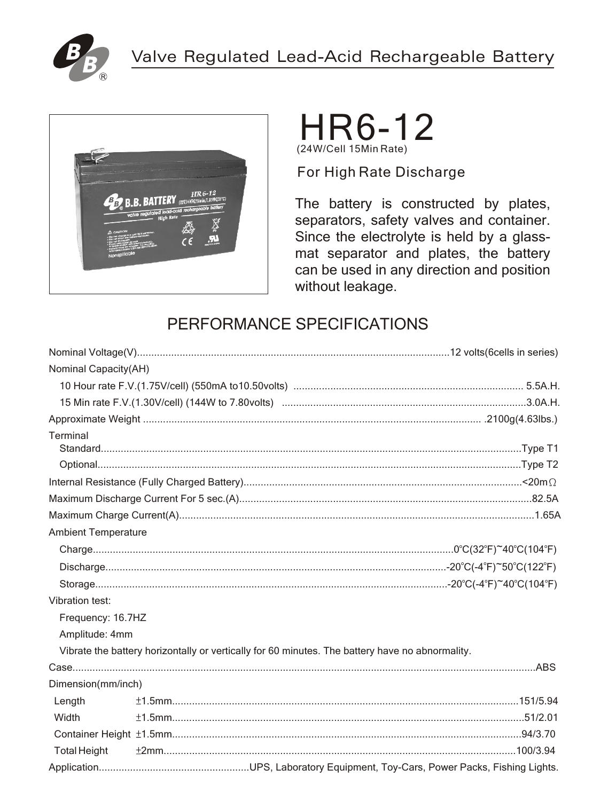



## HR6-12 (24W/Cell 15Min Rate)

For High Rate Discharge

The battery is constructed by plates, separators, safety valves and container. Since the electrolyte is held by a glassmat separator and plates, the battery can be used in any direction and position without leakage.

## PERFORMANCE SPECIFICATIONS

| Nominal Capacity(AH)       |                                                                                                 |  |  |  |  |
|----------------------------|-------------------------------------------------------------------------------------------------|--|--|--|--|
|                            |                                                                                                 |  |  |  |  |
|                            |                                                                                                 |  |  |  |  |
|                            |                                                                                                 |  |  |  |  |
| Terminal                   |                                                                                                 |  |  |  |  |
|                            |                                                                                                 |  |  |  |  |
|                            |                                                                                                 |  |  |  |  |
|                            |                                                                                                 |  |  |  |  |
|                            |                                                                                                 |  |  |  |  |
|                            |                                                                                                 |  |  |  |  |
| <b>Ambient Temperature</b> |                                                                                                 |  |  |  |  |
|                            |                                                                                                 |  |  |  |  |
|                            |                                                                                                 |  |  |  |  |
|                            |                                                                                                 |  |  |  |  |
| Vibration test:            |                                                                                                 |  |  |  |  |
| Frequency: 16.7HZ          |                                                                                                 |  |  |  |  |
| Amplitude: 4mm             |                                                                                                 |  |  |  |  |
|                            | Vibrate the battery horizontally or vertically for 60 minutes. The battery have no abnormality. |  |  |  |  |
|                            |                                                                                                 |  |  |  |  |
| Dimension(mm/inch)         |                                                                                                 |  |  |  |  |
| Length                     |                                                                                                 |  |  |  |  |
| Width                      |                                                                                                 |  |  |  |  |
|                            |                                                                                                 |  |  |  |  |
| <b>Total Height</b>        |                                                                                                 |  |  |  |  |
|                            |                                                                                                 |  |  |  |  |